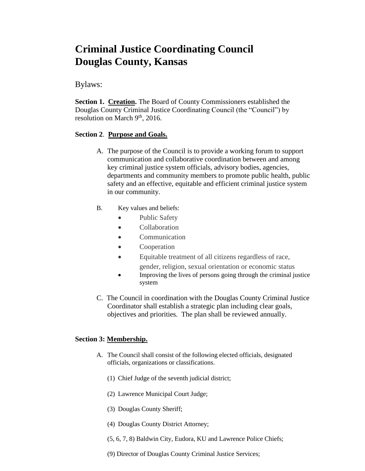# **Criminal Justice Coordinating Council Douglas County, Kansas**

# Bylaws:

**Section 1. Creation.** The Board of County Commissioners established the Douglas County Criminal Justice Coordinating Council (the "Council") by resolution on March  $9<sup>th</sup>$ , 2016.

## **Section 2**. **Purpose and Goals.**

- A. The purpose of the Council is to provide a working forum to support communication and collaborative coordination between and among key criminal justice system officials, advisory bodies, agencies, departments and community members to promote public health, public safety and an effective, equitable and efficient criminal justice system in our community.
- B. Key values and beliefs:
	- Public Safety
	- Collaboration
	- Communication
	- Cooperation
	- Equitable treatment of all citizens regardless of race,
	- gender, religion, sexual orientation or economic status Improving the lives of persons going through the criminal justice system
- C. The Council in coordination with the Douglas County Criminal Justice Coordinator shall establish a strategic plan including clear goals, objectives and priorities. The plan shall be reviewed annually.

## **Section 3: Membership.**

- A. The Council shall consist of the following elected officials, designated officials, organizations or classifications.
	- (1) Chief Judge of the seventh judicial district;
	- (2) Lawrence Municipal Court Judge;
	- (3) Douglas County Sheriff;
	- (4) Douglas County District Attorney;
	- (5, 6, 7, 8) Baldwin City, Eudora, KU and Lawrence Police Chiefs;
	- (9) Director of Douglas County Criminal Justice Services;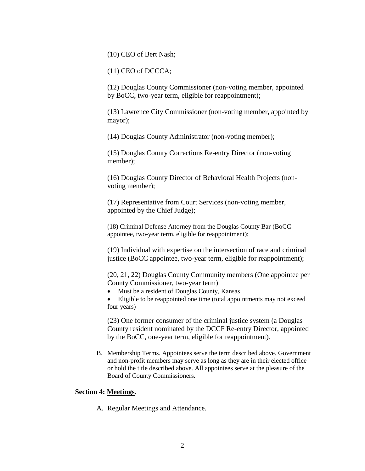(10) CEO of Bert Nash;

(11) CEO of DCCCA;

(12) Douglas County Commissioner (non-voting member, appointed by BoCC, two-year term, eligible for reappointment);

(13) Lawrence City Commissioner (non-voting member, appointed by mayor);

(14) Douglas County Administrator (non-voting member);

(15) Douglas County Corrections Re-entry Director (non-voting member);

(16) Douglas County Director of Behavioral Health Projects (nonvoting member);

(17) Representative from Court Services (non-voting member, appointed by the Chief Judge);

(18) Criminal Defense Attorney from the Douglas County Bar (BoCC appointee, two-year term, eligible for reappointment);

(19) Individual with expertise on the intersection of race and criminal justice (BoCC appointee, two-year term, eligible for reappointment);

(20, 21, 22) Douglas County Community members (One appointee per County Commissioner, two-year term)

Must be a resident of Douglas County, Kansas

 Eligible to be reappointed one time (total appointments may not exceed four years)

(23) One former consumer of the criminal justice system (a Douglas County resident nominated by the DCCF Re-entry Director, appointed by the BoCC, one-year term, eligible for reappointment).

B. Membership Terms. Appointees serve the term described above. Government and non-profit members may serve as long as they are in their elected office or hold the title described above. All appointees serve at the pleasure of the Board of County Commissioners.

#### **Section 4: Meetings.**

A. Regular Meetings and Attendance.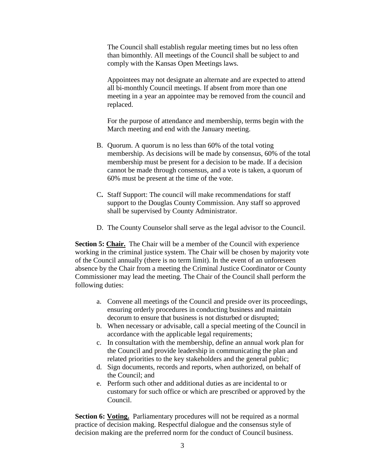The Council shall establish regular meeting times but no less often than bimonthly. All meetings of the Council shall be subject to and comply with the Kansas Open Meetings laws.

Appointees may not designate an alternate and are expected to attend all bi-monthly Council meetings. If absent from more than one meeting in a year an appointee may be removed from the council and replaced.

For the purpose of attendance and membership, terms begin with the March meeting and end with the January meeting.

- B. Quorum. A quorum is no less than 60% of the total voting membership. As decisions will be made by consensus, 60% of the total membership must be present for a decision to be made. If a decision cannot be made through consensus, and a vote is taken, a quorum of 60% must be present at the time of the vote.
- C**.** Staff Support: The council will make recommendations for staff support to the Douglas County Commission. Any staff so approved shall be supervised by County Administrator.
- D. The County Counselor shall serve as the legal advisor to the Council.

**Section 5: Chair.** The Chair will be a member of the Council with experience working in the criminal justice system. The Chair will be chosen by majority vote of the Council annually (there is no term limit). In the event of an unforeseen absence by the Chair from a meeting the Criminal Justice Coordinator or County Commissioner may lead the meeting. The Chair of the Council shall perform the following duties:

- a. Convene all meetings of the Council and preside over its proceedings, ensuring orderly procedures in conducting business and maintain decorum to ensure that business is not disturbed or disrupted;
- b. When necessary or advisable, call a special meeting of the Council in accordance with the applicable legal requirements;
- c. In consultation with the membership, define an annual work plan for the Council and provide leadership in communicating the plan and related priorities to the key stakeholders and the general public;
- d. Sign documents, records and reports, when authorized, on behalf of the Council; and
- e. Perform such other and additional duties as are incidental to or customary for such office or which are prescribed or approved by the Council.

**Section 6: Voting.** Parliamentary procedures will not be required as a normal practice of decision making. Respectful dialogue and the consensus style of decision making are the preferred norm for the conduct of Council business.